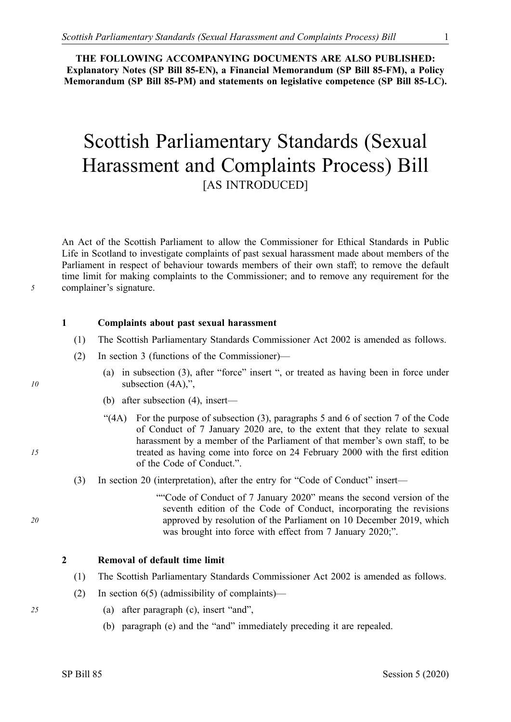**THE FOLLOWING ACCOMPANYING DOCUMENTS ARE ALSO PUBLISHED: Explanatory Notes (SP Bill 85-EN), a Financial Memorandum (SP Bill 85-FM), a Policy Memorandum (SP Bill 85-PM) and statements on legislative competence (SP Bill 85-LC).** 

# Scottish Parliamentary Standards (Sexual Harassment and Complaints Process) Bill [AS INTRODUCED]

An Act of the Scottish Parliament to allow the Commissioner for Ethical Standards in Public Life in Scotland to investigate complaints of past sexual harassment made about members of the Parliament in respect of behaviour towards members of their own staff; to remove the default time limit for making complaints to the Commissioner; and to remove any requirement for the complainer's signature.

#### **1 Complaints about past sexual harassment**

- (1) The Scottish Parliamentary Standards Commissioner Act 2002 is amended as follows.
- (2) In section 3 (functions of the Commissioner)—
	- (a) in subsection (3), after "force" insert ", or treated as having been in force under subsection (4A),",
	- (b) after subsection (4), insert—
	- "(4A) For the purpose of subsection (3), paragraphs 5 and 6 of section 7 of the Code of Conduct of 7 January 2020 are, to the extent that they relate to sexual harassment by a member of the Parliament of that member's own staff, to be treated as having come into force on 24 February 2000 with the first edition of the Code of Conduct.".
- (3) In section 20 (interpretation), after the entry for "Code of Conduct" insert—

""Code of Conduct of 7 January 2020" means the second version of the seventh edition of the Code of Conduct, incorporating the revisions approved by resolution of the Parliament on 10 December 2019, which was brought into force with effect from 7 January 2020;".

# **2 Removal of default time limit**

- (1) The Scottish Parliamentary Standards Commissioner Act 2002 is amended as follows.
- (2) In section 6(5) (admissibility of complaints)—
- *25* (a) after paragraph (c), insert "and",
	- (b) paragraph (e) and the "and" immediately preceding it are repealed.

*10* 

*5* 

*15* 

*20*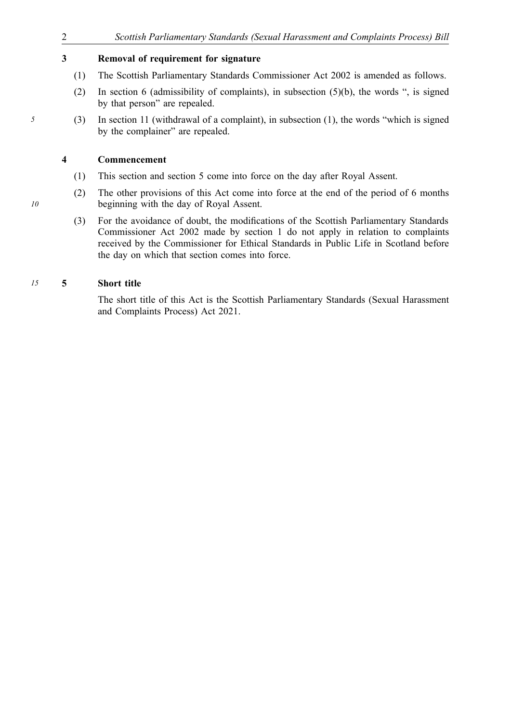# **3 Removal of requirement for signature**

- (1) The Scottish Parliamentary Standards Commissioner Act 2002 is amended as follows.
- (2) In section 6 (admissibility of complaints), in subsection (5)(b), the words ", is signed by that person" are repealed.
- *5* (3) In section 11 (withdrawal of a complaint), in subsection (1), the words "which is signed by the complainer" are repealed.

# **4 Commencement**

- (1) This section and section 5 come into force on the day after Royal Assent.
- (2) The other provisions of this Act come into force at the end of the period of 6 months beginning with the day of Royal Assent.
- (3) For the avoidance of doubt, the modifications of the Scottish Parliamentary Standards Commissioner Act 2002 made by section 1 do not apply in relation to complaints received by the Commissioner for Ethical Standards in Public Life in Scotland before the day on which that section comes into force.

# *15* **5 Short title**

The short title of this Act is the Scottish Parliamentary Standards (Sexual Harassment and Complaints Process) Act 2021.